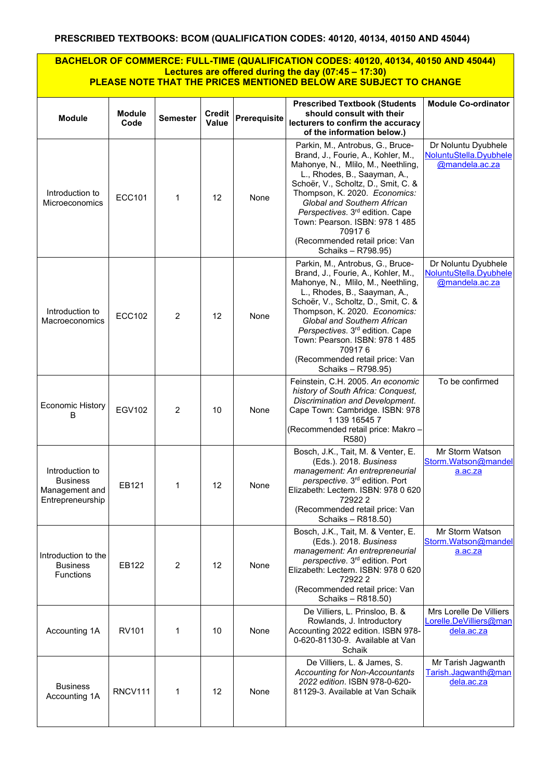## **BACHELOR OF COMMERCE: FULL-TIME (QUALIFICATION CODES: 40120, 40134, 40150 AND 45044) Lectures are offered during the day (07:45 – 17:30) PLEASE NOTE THAT THE PRICES MENTIONED BELOW ARE SUBJECT TO CHANGE**

| <b>Module</b>                                                            | <b>Module</b><br>Code | <b>Semester</b> | <b>Credit</b><br>Value | Prerequisite | <b>Prescribed Textbook (Students</b><br>should consult with their<br>lecturers to confirm the accuracy<br>of the information below.)                                                                                                                                                                                                                                                                   | <b>Module Co-ordinator</b>                                      |
|--------------------------------------------------------------------------|-----------------------|-----------------|------------------------|--------------|--------------------------------------------------------------------------------------------------------------------------------------------------------------------------------------------------------------------------------------------------------------------------------------------------------------------------------------------------------------------------------------------------------|-----------------------------------------------------------------|
| Introduction to<br>Microeconomics                                        | <b>ECC101</b>         | 1               | 12                     | None         | Parkin, M., Antrobus, G., Bruce-<br>Brand, J., Fourie, A., Kohler, M.,<br>Mahonye, N., Mlilo, M., Neethling,<br>L., Rhodes, B., Saayman, A.,<br>Schoër, V., Scholtz, D., Smit, C. &<br>Thompson, K. 2020. Economics:<br>Global and Southern African<br>Perspectives. 3 <sup>rd</sup> edition. Cape<br>Town: Pearson. ISBN: 978 1 485<br>709176<br>(Recommended retail price: Van<br>Schaiks - R798.95) | Dr Noluntu Dyubhele<br>NoluntuStella.Dyubhele<br>@mandela.ac.za |
| Introduction to<br>Macroeconomics                                        | <b>ECC102</b>         | 2               | 12                     | None         | Parkin, M., Antrobus, G., Bruce-<br>Brand, J., Fourie, A., Kohler, M.,<br>Mahonye, N., Mlilo, M., Neethling,<br>L., Rhodes, B., Saayman, A.,<br>Schoër, V., Scholtz, D., Smit, C. &<br>Thompson, K. 2020. Economics:<br>Global and Southern African<br>Perspectives. 3 <sup>rd</sup> edition. Cape<br>Town: Pearson. ISBN: 978 1 485<br>709176<br>(Recommended retail price: Van<br>Schaiks - R798.95) | Dr Noluntu Dyubhele<br>NoluntuStella.Dyubhele<br>@mandela.ac.za |
| <b>Economic History</b><br>B                                             | <b>EGV102</b>         | 2               | 10                     | None         | Feinstein, C.H. 2005. An economic<br>history of South Africa: Conquest,<br>Discrimination and Development.<br>Cape Town: Cambridge. ISBN: 978<br>1 139 16545 7<br>(Recommended retail price: Makro -<br>R580)                                                                                                                                                                                          | To be confirmed                                                 |
| Introduction to<br><b>Business</b><br>Management and<br>Entrepreneurship | EB121                 | 1               | 12                     | None         | Bosch, J.K., Tait, M. & Venter, E.<br>(Eds.). 2018. Business<br>management: An entrepreneurial<br>perspective. 3rd edition. Port<br>Elizabeth: Lectern. ISBN: 978 0 620<br>729222<br>(Recommended retail price: Van<br>Schaiks - R818.50)                                                                                                                                                              | Mr Storm Watson<br>Storm.Watson@mandel<br>a.ac.za               |
| Introduction to the<br><b>Business</b><br><b>Functions</b>               | EB122                 | 2               | 12                     | None         | Bosch, J.K., Tait, M. & Venter, E.<br>(Eds.). 2018. Business<br>management: An entrepreneurial<br>perspective. 3rd edition. Port<br>Elizabeth: Lectern. ISBN: 978 0 620<br>729222<br>(Recommended retail price: Van<br>Schaiks - R818.50)                                                                                                                                                              | Mr Storm Watson<br>Storm.Watson@mandel<br>a.ac.za               |
| Accounting 1A                                                            | <b>RV101</b>          | 1               | 10                     | None         | De Villiers, L. Prinsloo, B. &<br>Rowlands, J. Introductory<br>Accounting 2022 edition. ISBN 978-<br>0-620-81130-9. Available at Van<br>Schaik                                                                                                                                                                                                                                                         | Mrs Lorelle De Villiers<br>Lorelle.DeVilliers@man<br>dela.ac.za |
| <b>Business</b><br>Accounting 1A                                         | RNCV111               | 1               | 12                     | None         | De Villiers, L. & James, S.<br><b>Accounting for Non-Accountants</b><br>2022 edition. ISBN 978-0-620-<br>81129-3. Available at Van Schaik                                                                                                                                                                                                                                                              | Mr Tarish Jagwanth<br>Tarish.Jagwanth@man<br>dela.ac.za         |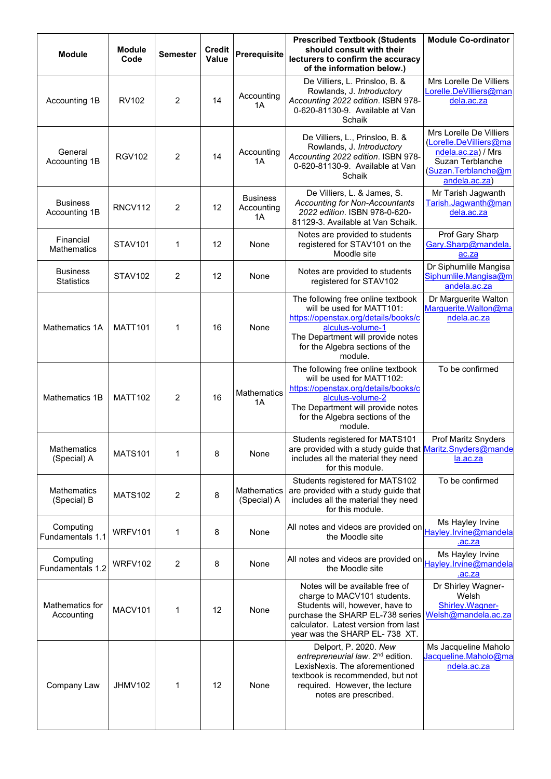| <b>Module</b>                        | <b>Module</b><br>Code | <b>Semester</b> | <b>Credit</b><br>Value | Prerequisite                        | <b>Prescribed Textbook (Students</b><br>should consult with their<br>lecturers to confirm the accuracy<br>of the information below.)                                                                           | <b>Module Co-ordinator</b>                                                                                                          |
|--------------------------------------|-----------------------|-----------------|------------------------|-------------------------------------|----------------------------------------------------------------------------------------------------------------------------------------------------------------------------------------------------------------|-------------------------------------------------------------------------------------------------------------------------------------|
| Accounting 1B                        | <b>RV102</b>          | 2               | 14                     | Accounting<br>1A                    | De Villiers, L. Prinsloo, B. &<br>Rowlands, J. Introductory<br>Accounting 2022 edition. ISBN 978-<br>0-620-81130-9. Available at Van<br>Schaik                                                                 | Mrs Lorelle De Villiers<br>Lorelle.DeVilliers@man<br>dela.ac.za                                                                     |
| General<br>Accounting 1B             | <b>RGV102</b>         | 2               | 14                     | Accounting<br>1A                    | De Villiers, L., Prinsloo, B. &<br>Rowlands, J. Introductory<br>Accounting 2022 edition. ISBN 978-<br>0-620-81130-9. Available at Van<br>Schaik                                                                | Mrs Lorelle De Villiers<br>(Lorelle.DeVilliers@ma<br>ndela.ac.za) / Mrs<br>Suzan Terblanche<br>(Suzan.Terblanche@m<br>andela.ac.za) |
| <b>Business</b><br>Accounting 1B     | <b>RNCV112</b>        | 2               | 12                     | <b>Business</b><br>Accounting<br>1A | De Villiers, L. & James, S.<br><b>Accounting for Non-Accountants</b><br>2022 edition. ISBN 978-0-620-<br>81129-3. Available at Van Schaik.                                                                     | Mr Tarish Jagwanth<br>Tarish.Jagwanth@man<br>dela.ac.za                                                                             |
| Financial<br><b>Mathematics</b>      | <b>STAV101</b>        | 1               | 12                     | None                                | Notes are provided to students<br>registered for STAV101 on the<br>Moodle site                                                                                                                                 | Prof Gary Sharp<br>Gary.Sharp@mandela.<br>ac.za                                                                                     |
| <b>Business</b><br><b>Statistics</b> | <b>STAV102</b>        | 2               | 12                     | None                                | Notes are provided to students<br>registered for STAV102                                                                                                                                                       | Dr Siphumlile Mangisa<br>Siphumlile.Mangisa@m<br>andela.ac.za                                                                       |
| Mathematics 1A                       | <b>MATT101</b>        | 1               | 16                     | None                                | The following free online textbook<br>will be used for MATT101:<br>https://openstax.org/details/books/c<br>alculus-volume-1<br>The Department will provide notes<br>for the Algebra sections of the<br>module. | Dr Marguerite Walton<br>Marguerite.Walton@ma<br>ndela.ac.za                                                                         |
| Mathematics 1B                       | <b>MATT102</b>        | 2               | 16                     | <b>Mathematics</b><br>1A            | The following free online textbook<br>will be used for MATT102:<br>https://openstax.org/details/books/c<br>alculus-volume-2<br>The Department will provide notes<br>for the Algebra sections of the<br>module. | To be confirmed                                                                                                                     |
| Mathematics<br>(Special) A           | <b>MATS101</b>        | 1               | 8                      | None                                | Students registered for MATS101<br>are provided with a study guide that Maritz.Snyders@mande<br>includes all the material they need<br>for this module.                                                        | Prof Maritz Snyders<br>la.ac.za                                                                                                     |
| <b>Mathematics</b><br>(Special) B    | <b>MATS102</b>        | 2               | 8                      | Mathematics<br>(Special) A          | Students registered for MATS102<br>are provided with a study guide that<br>includes all the material they need<br>for this module.                                                                             | To be confirmed                                                                                                                     |
| Computing<br>Fundamentals 1.1        | WRFV101               | 1               | 8                      | None                                | All notes and videos are provided on<br>the Moodle site                                                                                                                                                        | Ms Hayley Irvine<br>Hayley.lrvine@mandela<br>.ac.za                                                                                 |
| Computing<br>Fundamentals 1.2        | WRFV102               | 2               | 8                      | None                                | All notes and videos are provided on<br>the Moodle site                                                                                                                                                        | Ms Hayley Irvine<br>Hayley.lrvine@mandela<br>.ac.za                                                                                 |
| Mathematics for<br>Accounting        | MACV101               | 1               | 12                     | None                                | Notes will be available free of<br>charge to MACV101 students.<br>Students will, however, have to<br>purchase the SHARP EL-738 series<br>calculator. Latest version from last<br>year was the SHARP EL-738 XT. | Dr Shirley Wagner-<br>Welsh<br>Shirley. Wagner-<br>Welsh@mandela.ac.za                                                              |
| Company Law                          | <b>JHMV102</b>        | 1               | 12                     | None                                | Delport, P. 2020. New<br>entrepreneurial law. 2 <sup>nd</sup> edition.<br>LexisNexis. The aforementioned<br>textbook is recommended, but not<br>required. However, the lecture<br>notes are prescribed.        | Ms Jacqueline Maholo<br>Jacqueline.Maholo@ma<br>ndela.ac.za                                                                         |